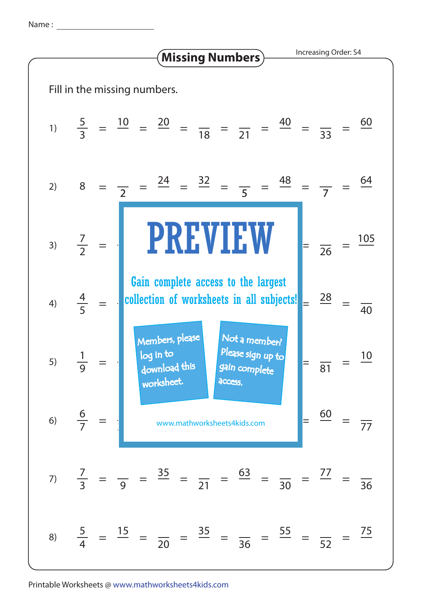Name :